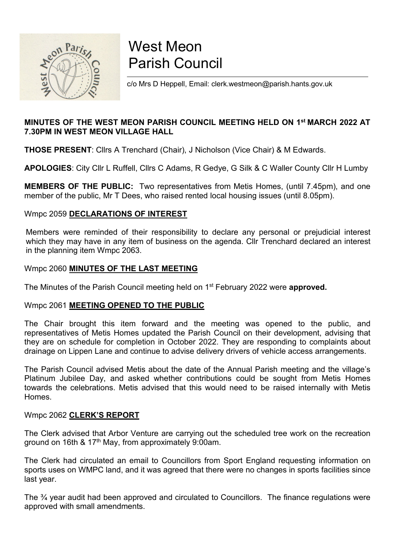

# West Meon<br>Parish Council<br><sub>c/o Mrs D Heppell, Email: clerk.westmeon@parish.hants.gov.uk</sub> West Meon<br>Parish Council<br><sub>C/o Mrs D Heppell, Email: clerk.westmeon@parish.hants.gov.uk</sub> West Meon<br>Parish Council<br>Co Mrs D Heppell, Email: clerk.westmeon@parish.hants.gov.uk<br>EON PARISH COUNCIL MEETING HELD ON 1st MARCH 2022 AT

## West Meon<br>
Parish Council<br>
Solvens D Heppell, Email: clerk.westmeon@parish.hants.gov.uk<br>
MINUTES OF THE WEST MEON PARISH COUNCIL MEETING HELD ON 1<sup>st</sup> MARCH 2022 AT<br>
THOSE PRESENT: Clirs A Trenchard (Chair), J Nicholson (V West Meon<br>
Parish Council<br>
Samuel Minutes of the WEST MEON PARISH COUNCIL MEETING HELD ON 1<sup>st</sup> MARCH 2022 AT<br>
MINUTES OF THE WEST MEON PARISH COUNCIL MEETING HELD ON 1<sup>st</sup> MARCH 2022 AT<br>
THOSE PRESENT: CIIrs A Trenchard ( West Meon<br>
Parish Council<br>
Communication Parish Council<br>
Communication Parish Council<br>
MINUTES OF THE WEST MEON PARISH COUNCIL MEETING HELD ON 1<sup>st</sup> MARCH 2022 AT<br>
THOSE PRESENT: Clirs A Trenchard (Chair), J Nicholson (Vic West Meon<br>
Marish Council<br>
Co Mrs D Heppell, Email: clerk.westmeon@parish.hants.gov.uk<br>
MINUTES OF THE WEST MEON PARISH COUNCIL MEETING HELD ON 1<sup>4t</sup> MARCH 2022 AT<br>
TAGSE PRESENT: Clirs A Trenchard (Chair), J Nicholson (Vi West Meon<br>
MINUTES OF THE WEST MEON PARISH COUNCIL MEETING HELD ON 1<sup>st</sup> MARCH 2022 AT<br>
MINUTES OF THE WEST MEON PARISH COUNCIL MEETING HELD ON 1<sup>st</sup> MARCH 2022 AT<br>
7.30PM IN WEST MEON VILLAGE HALL<br>
THOSE PRESENT: Clirs A West Meon<br>
Parish Council<br>
MINUTES OF THE WEST MEON PARISH COUNCIL MEETING HELD ON 1<sup>st</sup> MARCH 2022 AT<br>
MINUTES OF THE WEST MEON VILLAGE HALL<br>
THOSE PRESENT: Clirs A Trenchard (Chair), J Nicholson (Vice Chair) & M Edwards.

West Meon<br>
Parish Council<br>
Community and Miss Dieppell, Email: derk,westmeon@parish.hants.gov.uk<br>
MINUTES OF THE WEST MEON PARISH COUNCIL MEETING HELD ON 1<sup>st</sup> MARCH 2022 A<br>
7.30PM IN WEST MEON VILLAGE HALL<br>
THOSE PRESENT: MEMBERS OF THE WEST MEMORIAL THOSE PRESENT: Clirk A Trenchard Chair, J. J Nicholson (Vice Chair) & M Edwards.<br>
THOSE PRESENT: Clirk A Trenchard (Chair), J Nicholson (Vice Chair) & M Edwards.<br>
APOLOGIES: City Clir L Ruffell WHIT THE WEST MENT COMINGTIONS OF THE LAST MEETING<br>
WINUTES OF THE WEST MEON PARISH COUNCIL MEETING HELD ON 1<sup>st</sup> MARCH 2022 AT<br>
T.30PM IN WEST MEON VILLAGE HALL<br>
THOSE PRESENT: Clirs A Trenchard (Chair), J Nicholson (Vice c/o Mrs D Heppell, Email: clerk.westmeon@parish.hants.gov.uk<br>
1997.30PM IN WEST MEON PARISH COUNCIL MEETING HELD ON 1<sup>st</sup> MARCH<br>
1997.30PM IN WEST MEON VILLAGE HALL<br>
1997.30PM IN WEST MEON VILLAGE HALL<br>
1998.1997.30PM IN W MINUTES OF THE WEST MEON PARISH COUNCIL MEETING HELD ON 1<sup>44</sup> MARCH 2022 AT<br>7.30PM IN WEST MEON VILLAGE HALL<br>THOSE PRESENT: Clirs A Trenchard (Chair), J Nicholson (Vice Chair) & M Edwards.<br>APOLOGIES: City Clir L Ruffell, C MINUTES OF THE WEST MEON PARISH COUNCIL MEETING HELD ON 1<sup>st</sup> MARCH 2022 AT<br>7.30PM IN WEST MEON VILLAGE HALL<br>THOSE PRESENT: Clirs A Trenchard (Chair), J Nicholson (Vice Chair) & M Edwards.<br>APOLOGIES: City Clir L Ruffell, C

7.307 MHY WEST MECHY VIEENSE TIALL<br>
THOSE PRESENT: Clirs A Trenchard (Chair), J Nicholson (Vice Chair) & M Edwards.<br>
APOLOGIES: City Clir L Ruffell, Clirs C Adams, R Gedye, G Silk & C Waller County Clir H Lumby<br>
MEMBERS OF **APOLOGIES:** City Clir L Ruffell, Clirs C Adams, R Gedye, G Silk & C Waller County Clir H Lumby<br> **MEMBERS OF THE PUBLIC:** Two representatives from Metis Homes, (until 7.45pm), and one<br>
member of the public, Mr T Dees, who **APOLOGIES:** City Clir L Ruffell, Clirs C Adams, R Gedye, G Silk & C Waller County Clir H Lumby<br> **MEMBERS OF THE PUBLIC:** Two representatives from Metis Homes, (until 7.45pm), and one<br>
member of the public, Mr T Dees, who The Minutes of the Parish Council methic and the meeting was cycles of the SUCRE of the PUBLIC. Two representatives from Metis Homes, (until 7.45pm), and one MEMINERE ST<br>
Members over eneminded of their responsibility to d **MEMBERS OF THE PUBLIC:** Two representatives from Metis Homes, (until 7.45pm), and one<br>member of the public, Mr T Dees, who raised rented local housing issues (until 8.05pm).<br>Wmpc 2059 <u>DECLARATIONS OF INTEREST</u><br>Members we

member of the panke, the Pesse, who raised tended modeling issues (until 0.00pm).<br>
Wimpo 2059 DECLARATIONS OF INTEREST<br>
Members were reminded of their responsibility to declare any personal or prejudicial interest<br>
which t Wmpc 2059 **DECLARATIONS OF INTEREST**<br>
Members were reminded of their responsibility to declare any personal or prejudicial interest<br>
which they may have in any item of business on the agenda. ClIr Trenchard declared an int Willipt 2009 <u>DEVERANTIONS OF INTERNST</u><br>
Mindhers were reminded of their responsibility to declare any personal or prejudicial interest<br>
which they may have in any item of business on the agenda. Clir Trenchard declared an Homes. which they may have in any interest and the scheduled tree work on<br>the cleaning item Winpc 2063.<br>The Minutes of the Parish Council meeting held on 1<sup>st</sup> February 2022 were **approved**<br>The Minutes of the Parish Council meet Wmpc 2060 **MINUTES OF THE LAST MEETING**<br>The Minutes of the Parish Council meeting held on 1<sup>st</sup> February 2022 were **approved**.<br>Wmpc 2061 **MEETING OPENED TO THE PUBLIC**<br>The Chair brought this item forward and the meeting wa The Minutes of the Parish Council meeting held on 1<sup>st</sup> February 2022 were **approved.**<br>
Wripe 2061 **MEETING OPENED TO THE PUBLIC**<br>
The Chair brought this item forward and the meeting was opened to the public, and<br>
they are The Mindes of the Fansir Council meeting ned on T February 2022 were approved.<br>
The Chair brought this item forward and the meeting was opened to the public, and<br>
they are on schedule for completion in October 2022. They a Wmpc 2061 **MEETING OPENED TO THE PUBLIC**<br>The Chair brought this item forward and the meeting was opened to the public, and<br>representatives of Metis Homes updated the Parish Council on their development, advising that<br>they Wilhe 2001 **Includible Theodorum Concept and the meeting was representatives** of Metis Homes updated the Parish Council on the they are on schedule for completion in October 2022. They are drainage on Lippen Lane and cont The Cleral solution of Media Hamil Toward and the Theology was "opene to the public," and they are on schedule for completion in October 2022. They are responding to completing that drainage on Lippen Lane and continue to representatives or witels interes quarted the rain Council of the rain of their exergented the responding to change on Lippen Lane and continue to advise delivery drivers of vehicle access The Parish Council advised Metis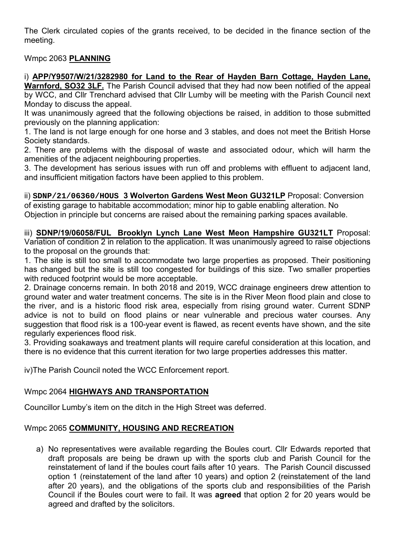The Clerk circulated copies of the grants received, to be decided in the finance section of the meeting.<br>Wmpc 2063 **PLANNING**<br>WMPC 2063 **PLANNING** meeting.

The Clerk circulated copies of the grants received, to be decided in<br>meeting.<br>Wmpc 2063 PLANNING<br>i) APP/Y9507/W/21/3282980 for Land to the Rear of Hayden Bar<br>Warnford, SO32 3LF. The Parish Council advised that they had now The Clerk circulated copies of the grants received, to be decided in the finance section of the<br>meeting.<br>Wmpc 2063 PLANNING<br>i) <u>APP/Y9507/W/21/3282980 for Land to the Rear of Hayden Barn Cottage, Hayden Lane,<br>Warnford, SO3</u> The Clerk circulated copies of the grants received, to be decided in the finance section of the<br>meeting.<br>Wmpc 2063 **PLANNING**<br>i) **APP/Y9507/W/21/3282980 for Land to the Rear of Hayden Barn Cottage, Hayden Lane,<br>Warnford, S** The Clerk circulated copies of the grants received, to be decided in the finance section of the<br>meeting.<br>Wmpc 2063 <u>PLANNING</u><br>i) <u>APP/Y9507/W/21/3282980 for Land to the Rear of Hayden Barn Cottage, Hayden Lane,<br>Warnford, S</u> The Clerk circulated copies of the grants received, to be decided in the finance s<br>meeting.<br>Wmpc 2063 **PLANNING**<br>i) **APP/Y9507/W/21/3282980 for Land to the Rear of Hayden Barn Cottage, H<br><b>Warnford, SO32 3LF.** The Parish Co The Clerk circulated copies of the grants received, to be decided in the finance section of the<br>meeting.<br>Wmpc 2063 PLANNING<br>i) APP/Y9507/W/21/3282980 for Land to the Rear of Hayden Barn Cottage, Hayden Lane,<br>Warnford, SO32 The Clerk circulated copies of the grants received, to be decided in the finance sectimeeting.<br>
Wmpc 2063 **PLANNING**<br>
i) **APP/Y9507/W/21/3282980 for Land to the Rear of Hayden Barn Cottage, Hayd<br>
Warnford, SO32 3LF. The Pa** The Clerk circulated copies of the grants received, to be decided in the finance section of the<br>meeting.<br>Wmpc 2063 **PLANNING**<br>i) **APP/Y9507/W/21/3282980 for Land to the Rear of Hayden Barn Cottage, Hayden Lane,<br>Warnford, S** The Clerk circulated copies of the grants received, to be decided i<br>meeting.<br>Wmpc 2063 **PLANNING**<br>i) **APP/Y9507/W/21/3282980 for Land to the Rear of Hayden Ba**<br>**Warnford, S032 3LF.** The Parish Council advised that they had The Clerk circulated copies of the grants received, to be decided in the finance section of the meeting.<br>
Wmpc 2063 **PLANNING**<br>
i) **APP/Y9507/W/21/3282980 for Land to the Rear of Hayden Barn Cottage, Hayden Lane,<br>
Warnford** The Clerk circulated copies of the grants received, to be decided in the finance section of the meeting.<br>
Wmpc 2063 **PLANNING**<br>
i) **APP/Y9507/W/2/132292980 for Land to the Rear of Hayden Barn Cottage, Hayden Lane,<br>
Warnfor** The Clerk circulated copies of the grants received, to be decided in the finance section of the meeting.<br>
Wmpc 2063 PLANNING<br>
i) APP/Y9507/W/21/3282980 for Land to the Rear of Hayden Barn Cottage, Hayden Lane,<br>
Warnford, S The Clerk circulated copies of the grants received, to be decided in the finance section of the meeting.<br>
Wmpc 2063 **PLANNING**<br>
i) **APP/Y9507/W/21/3282980 for Land to the Rear of Hayden Barn Cottage, Hayden Lane,<br>
Warnford** The Clerk circulated copies of the grants received, to be decided in the finance section of the<br>meeting.<br>Wmpc 2063 **PLANNING**<br>i) APP/Y9507/W/21/3282980 for Land to the Rear of Hayden Barn Cottage, Hayden Lane,<br>Warnford, SO The United Common the state of the state of Hayden Barn Cottage. Hayden Lane,<br>
Wimpc 2063 PLANNING<br>
i) APP/Y9507/M/21/3282980 for Land to the Rear of Hayden Barn Cottage. Hayden Lane,<br>
Warnford, SO32 3LF. The Parish Counci INCRIMET THE THE RET INTERT INTERT INTERT INTERT INTERT INTERT INTERT INTERT INTERT INTERT INTERT INTERT INTERT INTERT INTERT INTERT INTERT INTERT INTERT INTERT INTERT INTERT INTERT INTERT INTERT INTERT INTERT INTERT INTER iii) SDNP/2507 LEAR THIRM CONDIGENT CONDIGENT CONDIGENT CONDIGENT CONDIGENT CONDIGENT CONDIGENT CONDIGENT CONDIG THE PATIS CONDIGENT CONDIGENT CONDIGENT CONDIGENT CONDIGENT CONDIGENT CONDIGENT CONDIGENT CONDIGENT CONDIGENT i) **APP/Y9507/W/21/3282980 for Land to the Rear of Hayden Barn Cottage, Hayden Lane, Warnford, 5032 3LE, The Parish Council advised that they had now been notified of the appeal<br>by WCC, and Clir Trenchard advised that Clir** The Parist Counter the Brash Council advised that they had now been notified of the a<br>Warnford, SO32.3LF. The Parish Council advised that they had now been notified of the a<br>by WCc, and CIII Terenchard advised that CIIr Lu

**HEMEN THE STATE THAND INTERNATE STATE THAND THE SIGNATE IN THE SIGNATE THAND IN THE PATENT IN A SURFAIN CONTINUITY INTERNATE IN THE PATENT IN A SURFAIN CONTINUITY INTERNATE IN THE AND INTERNATE IN THE INTERNATE INTERNATE** 

by Fro.cy and omin'nously agreed that the following objections be raised, in addition to those submitted it was unanimously agreed that the following objections be raised, in addition to those submitted the sixe incriming monday to usual out plenting application:<br>It was unanimously argred that the following objections be raised, in addition to those submitted<br>previously on the planning application:<br>1. The land is not large enough for one ho n vas minimagy gigret ment means and states. The land is not mean that the British Horse Society standards.<br>
2. There are problems with the disposal of waste and a sacciated odour, which will harm the 3. The development ha process on the plane treatment in the disposal of waster and stables, and does not meet the British Horse<br>Scriety standars.<br>
Scriety standars.<br>
2. There are problems with the disposal of waste and associated odour, which w From dimote the riverside of the dispective and a state of the riverside of Society standards.<br>
2. There are problems with the disposal of waste and associated odour, which will harm the armentities of the adjacent neighbo because and the disposal of waste and associated odour, which will harm the annenties of the adjacent neighbouring properties.<br>
3. The development has serious issues with run off and problems with effluent to adjacent land Entried and the phononic state in the suppose of the diplomation of and problems with effluent to adjacent index<br>and insufficient mitigation factors issues with run off and problems with effluent to adjacent land,<br>3. The and insufficient mighter and is series with run off and problems with effluent to adjace and insufficient mitigation factors have been applied to this problem.<br>
ii) SDNP/21/06360/HOUS 3 Wolverton Gardens West Meon GU321LP 3. Draw conception and the solution of the properties and track the proton and track the proposal solution in principle but concerns are raised about the remaining parking alteration. No Objection in principle but concern and matter controllate and the evidence that the matter same in SNM-C21/0633 (Sonversion of existing grange to habitable accommodation; minor hip to gable enabling alteration. No Objection in principle but concerns are rai iv) <u>Court YERNOO MOOD THOT (The Parish Council note of the Parish Council not the Parish Council not the Parish Council not the Parish Council not the Parish Council not the Parish Council not be proposed. Warriton of Con</u> iii) **SDNP/19/06058/FUL Brooklyn Lynch Lane West Meon Hampshire GU321LT** Proposer Variation of condition 2 in relation to the application. It was unanimously agreed to raise objection. The site is still too small to accomm **Council Council Council Council Council Council Council Council Council Council Conserver Council Conserver Council Conserver Council Conserver Council C. The site is still too small to accommodate two large properties as** 1. The site is still too small to accommodate two large properties as proposed. Their positioning<br>has changed but the site is still too congested for buildings of this size. Two smaller properties<br>with reduced footprint wo n reduced botoprint would be more acceptable.<br>
Tradinage concerns remain. In both 2018 and 2019, WCC drainage engineers drew attention to<br>
und water and water treatment concerns. The site is in the River Meon flood plain a

mage concerns remain. In both 2018 and 2019, WCC drainage engineers drew attention to<br>the er, and is a historic flood risk area, especially from rising ground water. Current SDNP<br>is not to build on flood plains or near vul I water and water treatment concerns. The site is in the River Meon flood plain and close to<br>the r, and is a historic flood risk area, especially from rising ground water. Current SDNP<br>is not to build on flood plains or ne er, and is a historic flood risk area, especially from rising ground water. Current SDNP<br>is not to build on flood plains or near vulnerable and precious water courses. Any<br>tion that flood risk is a 100-year event is flawed is not to build on flood plains or near vulnerable and precious water courses. Any<br>the stion that flood risk,<br>ristion that flood risk,<br>in the site of the site of the spoke of the sports of the sports of the sports<br>in diddi it on the flood is a 100-year event is flawed, as recent events have shown, and the site<br>ity experiences flood risk.<br>The Boules court were courted that is courted that is courted that this courted that this courted that th The solution solution is a contribution is will require careful consideration at this location, as no evidence that this current iteration for two large properties addresses this matter.<br>
Parish Council noted the WCC Enfor